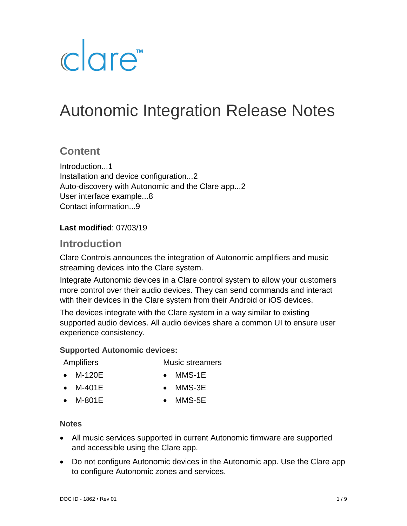# clare<sup>"</sup>

## Autonomic Integration Release Notes

## **Content**

Introduction...1 Installation and device configuration...2 Auto-discovery with Autonomic and the Clare app...2 User interface example...8 Contact information...9

#### **Last modified**: 07/03/19

## **Introduction**

Clare Controls announces the integration of Autonomic amplifiers and music streaming devices into the Clare system.

Integrate Autonomic devices in a Clare control system to allow your customers more control over their audio devices. They can send commands and interact with their devices in the Clare system from their Android or iOS devices.

The devices integrate with the Clare system in a way similar to existing supported audio devices. All audio devices share a common UI to ensure user experience consistency.

#### **Supported Autonomic devices:**

**Amplifiers** 

- Music streamers
- M-120E
- MMS-1E
- M-401E
- MMS-3E
- M-801E

• MMS-5E

#### **Notes**

- All music services supported in current Autonomic firmware are supported and accessible using the Clare app.
- Do not configure Autonomic devices in the Autonomic app. Use the Clare app to configure Autonomic zones and services.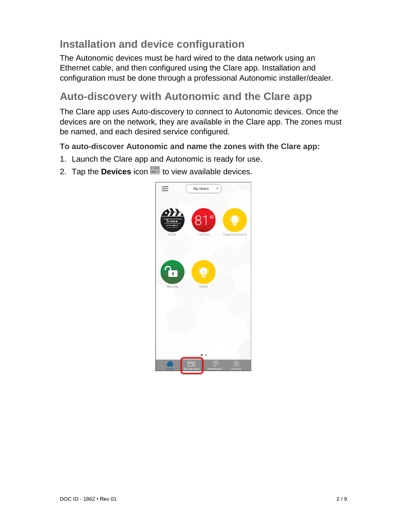## **Installation and device configuration**

The Autonomic devices must be hard wired to the data network using an Ethernet cable, and then configured using the Clare app. Installation and configuration must be done through a professional Autonomic installer/dealer.

## **Auto-discovery with Autonomic and the Clare app**

The Clare app uses Auto-discovery to connect to Autonomic devices. Once the devices are on the network, they are available in the Clare app. The zones must be named, and each desired service configured.

**To auto-discover Autonomic and name the zones with the Clare app:** 

- 1. Launch the Clare app and Autonomic is ready for use.
- 2. Tap the **Devices** icon **the to view available devices.**

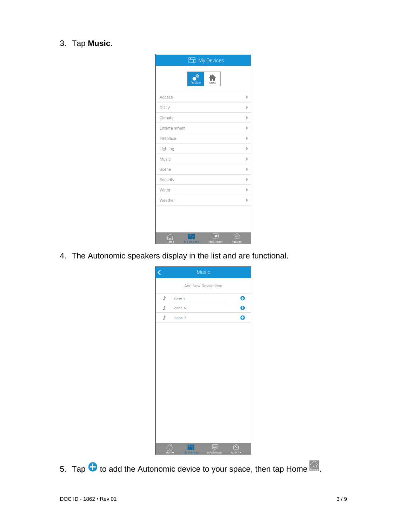### 3. Tap **Music**.

| <b>But</b> My Devices                                     |              |
|-----------------------------------------------------------|--------------|
| <b>Device</b><br>Area                                     |              |
| Access                                                    | $\mathbb{R}$ |
| CCTV                                                      | Þ            |
| Climate                                                   | Þ            |
| Entertainment                                             | Þ            |
| Fireplace                                                 | Þ            |
| Lighting                                                  | Þ            |
| Music                                                     | ь            |
| Scene                                                     | Þ            |
| Security                                                  | Þ            |
| Water                                                     | Ъ            |
| Weather                                                   | þ            |
|                                                           |              |
| $=$<br>InfoStream<br><b>Activity</b><br><b>My Devices</b> |              |

4. The Autonomic speakers display in the list and are functional.

| K    |                   | Music |                     |          |                     |
|------|-------------------|-------|---------------------|----------|---------------------|
|      |                   |       | Add New Device Icon |          |                     |
| ♪    | Zone 5            |       |                     |          | $\bullet$           |
| J)   | Zone 6            |       |                     |          | $\ddot{\textbf{e}}$ |
| J)   | Zone 7            |       |                     |          | Ô                   |
|      |                   |       |                     |          |                     |
|      |                   |       |                     |          |                     |
|      |                   |       |                     |          |                     |
|      |                   |       |                     |          |                     |
|      |                   |       |                     |          |                     |
|      |                   |       |                     |          |                     |
|      |                   |       |                     |          |                     |
|      |                   |       |                     |          |                     |
|      |                   |       |                     |          |                     |
|      |                   |       |                     |          |                     |
|      |                   |       |                     |          |                     |
|      |                   |       |                     |          |                     |
|      |                   |       | E                   | í∿       |                     |
| Home | <b>My Devices</b> |       | InfoStream          | Activity |                     |

5. Tap  $\bullet$  to add the Autonomic device to your space, then tap Home  $\widehat{\mathbb{C}}$ .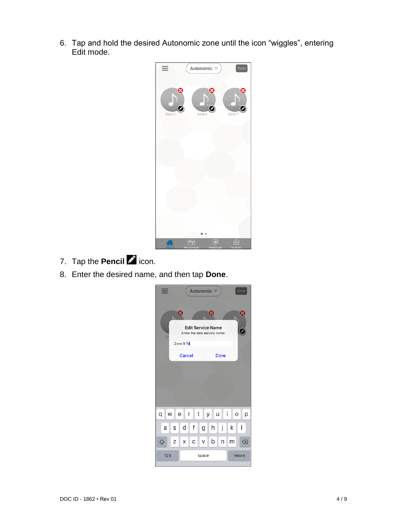6. Tap and hold the desired Autonomic zone until the icon "wiggles", entering Edit mode.



- 7. Tap the **Pencil** cicon.
- 8. Enter the desired name, and then tap **Done**.

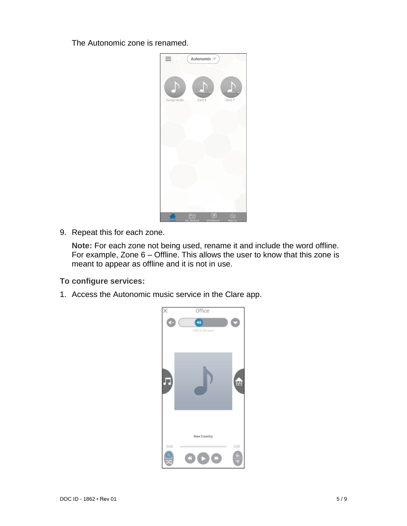The Autonomic zone is renamed.



9. Repeat this for each zone.

**Note:** For each zone not being used, rename it and include the word offline. For example, Zone 6 – Offline. This allows the user to know that this zone is meant to appear as offline and it is not in use.

**To configure services:** 

1. Access the Autonomic music service in the Clare app.

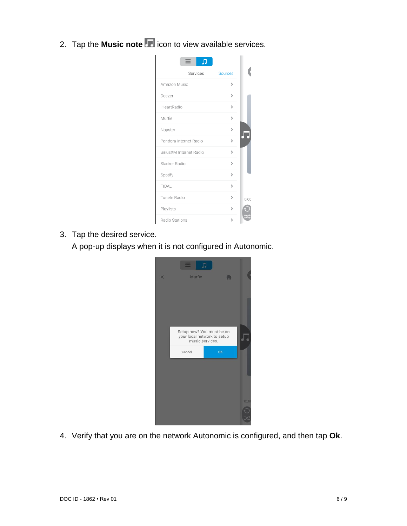2. Tap the **Music note** icon to view available services.

| Л                       |                       |
|-------------------------|-----------------------|
| Services                | <b>Sources</b>        |
| Amazon Music            | ⋟                     |
| Deezer                  | 5                     |
| iHeartRadio             | 5                     |
| Murfie                  | ⋋                     |
| Napster                 | $\mathsf{\mathsf{b}}$ |
| Pandora Internet Radio  | ⋟                     |
| SiriusXM Internet Radio | ⋟                     |
| Slacker Radio           | ⋋                     |
| Spotify                 | $\mathsf{S}$          |
| TIDAL                   | 5                     |
| Tuneln Radio            | 5                     |
| Playlists               | ⋟                     |
| Radio Stations          | 5                     |

3. Tap the desired service.

A pop-up displays when it is not configured in Autonomic.



4. Verify that you are on the network Autonomic is configured, and then tap **Ok**.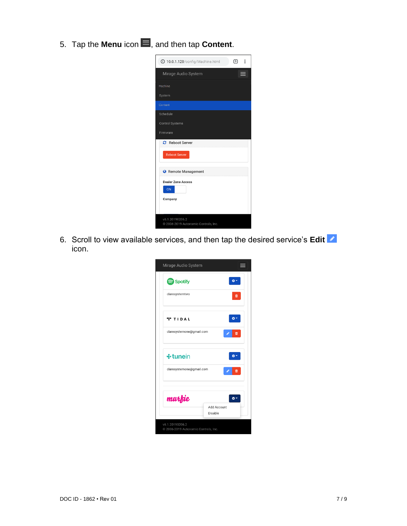5. Tap the **Menu** icon  $\blacksquare$ , and then tap **Content**.

| <b>10.0.1.128/config/Machine.html</b>                   | 同<br>$\ddot{\cdot}$ |
|---------------------------------------------------------|---------------------|
| Mirage Audio System                                     |                     |
| Machine                                                 |                     |
| System                                                  |                     |
| Content                                                 |                     |
| Schedule                                                |                     |
| <b>Control Systems</b>                                  |                     |
| Firmware                                                |                     |
| <b>2</b> Reboot Server                                  |                     |
| <b>Reboot Server</b>                                    |                     |
| <b>A</b> Remote Management                              |                     |
| <b>Dealer Zone Access</b><br>ON                         |                     |
| Company                                                 |                     |
| v6.1.20190206.2<br>@ 2006-2019 Autonomic Controls, Inc. |                     |

6. Scroll to view available services, and then tap the desired service's **Edit** icon.

| Spotify                  | õ۶                     |
|--------------------------|------------------------|
| claresystemtwo           | ⋒                      |
| <b>TIDAL</b>             |                        |
| claresystemone@gmail.com | 面                      |
| ÷ tunein                 |                        |
| claresystemone@gmail.com | 面                      |
| murfie                   |                        |
|                          | Add Account<br>Disable |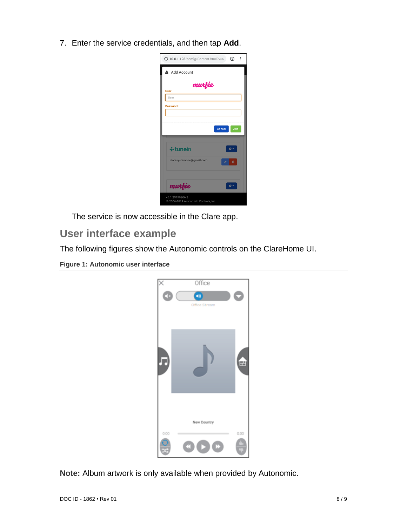7. Enter the service credentials, and then tap **Add**.

| 10.0.1.128/config/Content.html?v=6.<br>÷<br>ច           |
|---------------------------------------------------------|
| Add Account                                             |
| murfie                                                  |
| <b>User</b><br>User                                     |
| <b>Password</b>                                         |
|                                                         |
| Cancel<br>Add                                           |
|                                                         |
| ÷ tunein                                                |
| claresystemone@gmail.com<br>會                           |
|                                                         |
| murfie<br>*                                             |
| v6.1.20190206.2<br>@ 2006-2019 Autonomic Controls, Inc. |

The service is now accessible in the Clare app.

## **User interface example**

The following figures show the Autonomic controls on the ClareHome UI.

**Figure 1: Autonomic user interface**



**Note:** Album artwork is only available when provided by Autonomic.